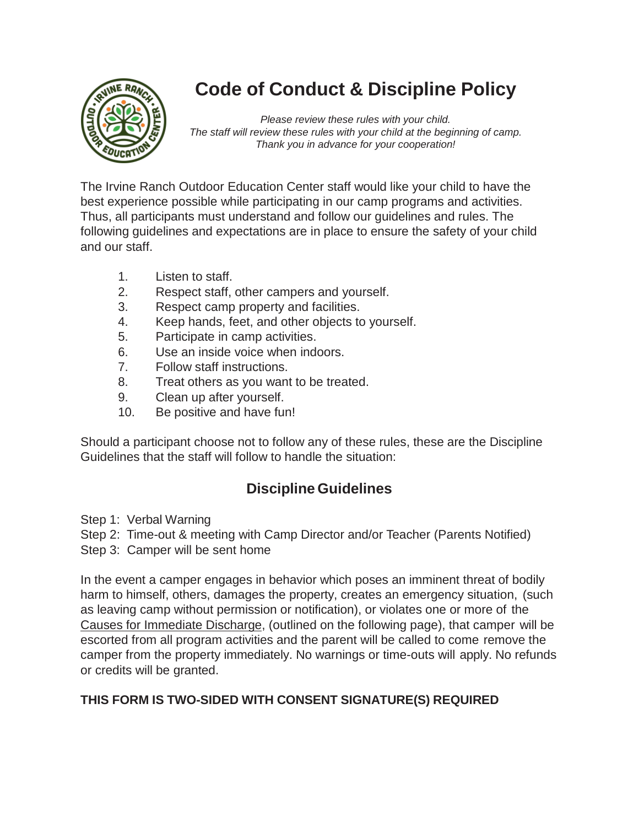

# **Code of Conduct & Discipline Policy**

*Please review these rules with your child. The staff will review these rules with your child at the beginning of camp. Thank you in advance for your cooperation!*

The Irvine Ranch Outdoor Education Center staff would like your child to have the best experience possible while participating in our camp programs and activities. Thus, all participants must understand and follow our guidelines and rules. The following guidelines and expectations are in place to ensure the safety of your child and our staff.

- 1. Listen to staff.
- 2. Respect staff, other campers and yourself.
- 3. Respect camp property and facilities.
- 4. Keep hands, feet, and other objects to yourself.
- 5. Participate in camp activities.
- 6. Use an inside voice when indoors.
- 7. Follow staff instructions.
- 8. Treat others as you want to be treated.
- 9. Clean up after yourself.
- 10. Be positive and have fun!

Should a participant choose not to follow any of these rules, these are the Discipline Guidelines that the staff will follow to handle the situation:

## **Discipline Guidelines**

Step 1: Verbal Warning

Step 2: Time-out & meeting with Camp Director and/or Teacher (Parents Notified)

Step 3: Camper will be sent home

In the event a camper engages in behavior which poses an imminent threat of bodily harm to himself, others, damages the property, creates an emergency situation, (such as leaving camp without permission or notification), or violates one or more of the Causes for Immediate Discharge, (outlined on the following page), that camper will be escorted from all program activities and the parent will be called to come remove the camper from the property immediately. No warnings or time-outs will apply. No refunds or credits will be granted.

### **THIS FORM IS TWO-SIDED WITH CONSENT SIGNATURE(S) REQUIRED**